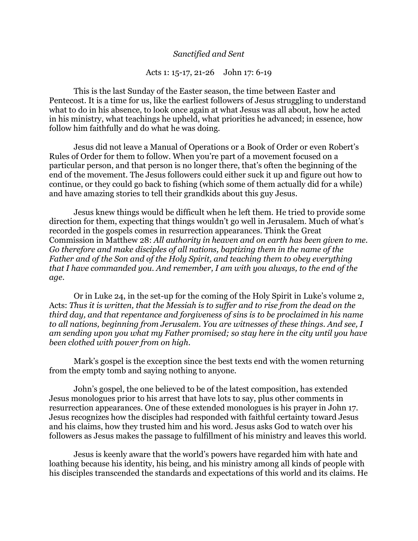## *Sanctified and Sent*

## Acts 1: 15-17, 21-26 John 17: 6-19

This is the last Sunday of the Easter season, the time between Easter and Pentecost. It is a time for us, like the earliest followers of Jesus struggling to understand what to do in his absence, to look once again at what Jesus was all about, how he acted in his ministry, what teachings he upheld, what priorities he advanced; in essence, how follow him faithfully and do what he was doing.

Jesus did not leave a Manual of Operations or a Book of Order or even Robert's Rules of Order for them to follow. When you're part of a movement focused on a particular person, and that person is no longer there, that's often the beginning of the end of the movement. The Jesus followers could either suck it up and figure out how to continue, or they could go back to fishing (which some of them actually did for a while) and have amazing stories to tell their grandkids about this guy Jesus.

Jesus knew things would be difficult when he left them. He tried to provide some direction for them, expecting that things wouldn't go well in Jerusalem. Much of what's recorded in the gospels comes in resurrection appearances. Think the Great Commission in Matthew 28: *All authority in heaven and on earth has been given to me. Go therefore and make disciples of all nations, baptizing them in the name of the Father and of the Son and of the Holy Spirit, and teaching them to obey everything that I have commanded you. And remember, I am with you always, to the end of the age*.

Or in Luke 24, in the set-up for the coming of the Holy Spirit in Luke's volume 2, Acts: *Thus it is written, that the Messiah is to suffer and to rise from the dead on the third day, and that repentance and forgiveness of sins is to be proclaimed in his name to all nations, beginning from Jerusalem. You are witnesses of these things. And see, I am sending upon you what my Father promised; so stay here in the city until you have been clothed with power from on high*.

Mark's gospel is the exception since the best texts end with the women returning from the empty tomb and saying nothing to anyone.

John's gospel, the one believed to be of the latest composition, has extended Jesus monologues prior to his arrest that have lots to say, plus other comments in resurrection appearances. One of these extended monologues is his prayer in John 17. Jesus recognizes how the disciples had responded with faithful certainty toward Jesus and his claims, how they trusted him and his word. Jesus asks God to watch over his followers as Jesus makes the passage to fulfillment of his ministry and leaves this world.

Jesus is keenly aware that the world's powers have regarded him with hate and loathing because his identity, his being, and his ministry among all kinds of people with his disciples transcended the standards and expectations of this world and its claims. He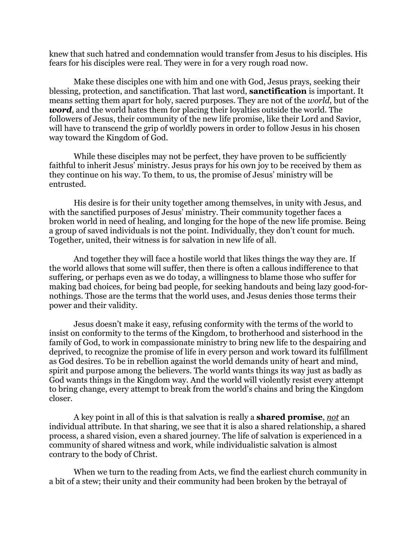knew that such hatred and condemnation would transfer from Jesus to his disciples. His fears for his disciples were real. They were in for a very rough road now.

Make these disciples one with him and one with God, Jesus prays, seeking their blessing, protection, and sanctification. That last word, **sanctification** is important. It means setting them apart for holy, sacred purposes. They are not of the *world*, but of the *word*, and the world hates them for placing their loyalties outside the world. The followers of Jesus, their community of the new life promise, like their Lord and Savior, will have to transcend the grip of worldly powers in order to follow Jesus in his chosen way toward the Kingdom of God.

While these disciples may not be perfect, they have proven to be sufficiently faithful to inherit Jesus' ministry. Jesus prays for his own joy to be received by them as they continue on his way. To them, to us, the promise of Jesus' ministry will be entrusted.

His desire is for their unity together among themselves, in unity with Jesus, and with the sanctified purposes of Jesus' ministry. Their community together faces a broken world in need of healing, and longing for the hope of the new life promise. Being a group of saved individuals is not the point. Individually, they don't count for much. Together, united, their witness is for salvation in new life of all.

And together they will face a hostile world that likes things the way they are. If the world allows that some will suffer, then there is often a callous indifference to that suffering, or perhaps even as we do today, a willingness to blame those who suffer for making bad choices, for being bad people, for seeking handouts and being lazy good-fornothings. Those are the terms that the world uses, and Jesus denies those terms their power and their validity.

Jesus doesn't make it easy, refusing conformity with the terms of the world to insist on conformity to the terms of the Kingdom, to brotherhood and sisterhood in the family of God, to work in compassionate ministry to bring new life to the despairing and deprived, to recognize the promise of life in every person and work toward its fulfillment as God desires. To be in rebellion against the world demands unity of heart and mind, spirit and purpose among the believers. The world wants things its way just as badly as God wants things in the Kingdom way. And the world will violently resist every attempt to bring change, every attempt to break from the world's chains and bring the Kingdom closer.

A key point in all of this is that salvation is really a **shared promise**, *not* an individual attribute. In that sharing, we see that it is also a shared relationship, a shared process, a shared vision, even a shared journey. The life of salvation is experienced in a community of shared witness and work, while individualistic salvation is almost contrary to the body of Christ.

When we turn to the reading from Acts, we find the earliest church community in a bit of a stew; their unity and their community had been broken by the betrayal of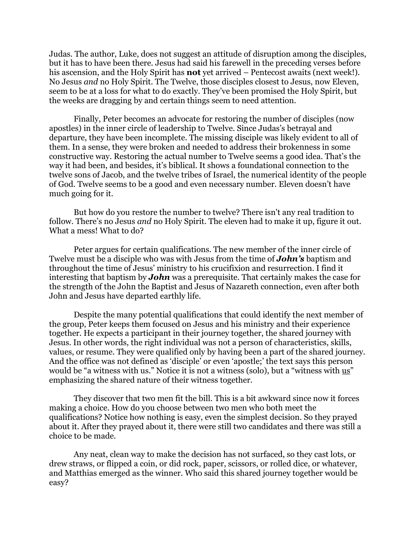Judas. The author, Luke, does not suggest an attitude of disruption among the disciples, but it has to have been there. Jesus had said his farewell in the preceding verses before his ascension, and the Holy Spirit has **not** yet arrived – Pentecost awaits (next week!). No Jesus *and* no Holy Spirit. The Twelve, those disciples closest to Jesus, now Eleven, seem to be at a loss for what to do exactly. They've been promised the Holy Spirit, but the weeks are dragging by and certain things seem to need attention.

Finally, Peter becomes an advocate for restoring the number of disciples (now apostles) in the inner circle of leadership to Twelve. Since Judas's betrayal and departure, they have been incomplete. The missing disciple was likely evident to all of them. In a sense, they were broken and needed to address their brokenness in some constructive way. Restoring the actual number to Twelve seems a good idea. That's the way it had been, and besides, it's biblical. It shows a foundational connection to the twelve sons of Jacob, and the twelve tribes of Israel, the numerical identity of the people of God. Twelve seems to be a good and even necessary number. Eleven doesn't have much going for it.

But how do you restore the number to twelve? There isn't any real tradition to follow. There's no Jesus *and* no Holy Spirit. The eleven had to make it up, figure it out. What a mess! What to do?

Peter argues for certain qualifications. The new member of the inner circle of Twelve must be a disciple who was with Jesus from the time of *John's* baptism and throughout the time of Jesus' ministry to his crucifixion and resurrection. I find it interesting that baptism by *John* was a prerequisite. That certainly makes the case for the strength of the John the Baptist and Jesus of Nazareth connection, even after both John and Jesus have departed earthly life.

Despite the many potential qualifications that could identify the next member of the group, Peter keeps them focused on Jesus and his ministry and their experience together. He expects a participant in their journey together, the shared journey with Jesus. In other words, the right individual was not a person of characteristics, skills, values, or resume. They were qualified only by having been a part of the shared journey. And the office was not defined as 'disciple' or even 'apostle;' the text says this person would be "a witness with us." Notice it is not a witness (solo), but a "witness with us" emphasizing the shared nature of their witness together.

They discover that two men fit the bill. This is a bit awkward since now it forces making a choice. How do you choose between two men who both meet the qualifications? Notice how nothing is easy, even the simplest decision. So they prayed about it. After they prayed about it, there were still two candidates and there was still a choice to be made.

Any neat, clean way to make the decision has not surfaced, so they cast lots, or drew straws, or flipped a coin, or did rock, paper, scissors, or rolled dice, or whatever, and Matthias emerged as the winner. Who said this shared journey together would be easy?